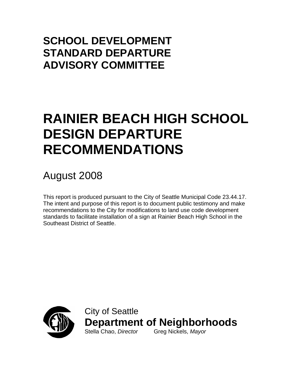## **SCHOOL DEVELOPMENT STANDARD DEPARTURE ADVISORY COMMITTEE**

# **RAINIER BEACH HIGH SCHOOL DESIGN DEPARTURE RECOMMENDATIONS**

## August 2008

This report is produced pursuant to the City of Seattle Municipal Code 23.44.17. The intent and purpose of this report is to document public testimony and make recommendations to the City for modifications to land use code development standards to facilitate installation of a sign at Rainier Beach High School in the Southeast District of Seattle.



City of Seattle **Department of Neighborhoods** Stella Chao, *Director* Greg Nickels, *Mayor*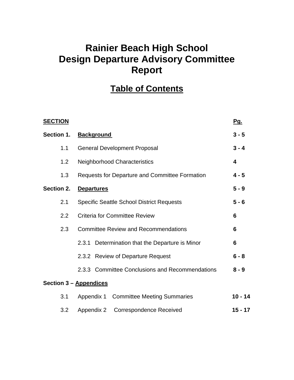## **Rainier Beach High School Design Departure Advisory Committee Report**

## **Table of Contents**

| <b>SECTION</b>                    |                                                                                            | <u>Pg.</u> |  |
|-----------------------------------|--------------------------------------------------------------------------------------------|------------|--|
| Section 1.                        | <b>Background</b>                                                                          | $3 - 5$    |  |
| 1.1                               | <b>General Development Proposal</b>                                                        | $3 - 4$    |  |
| 1.2                               | <b>Neighborhood Characteristics</b>                                                        |            |  |
| 1.3                               | <b>Requests for Departure and Committee Formation</b>                                      |            |  |
| Section 2.                        | <b>Departures</b>                                                                          |            |  |
| 2.1                               | <b>Specific Seattle School District Requests</b>                                           |            |  |
| 2.2                               | <b>Criteria for Committee Review</b><br>2.3<br><b>Committee Review and Recommendations</b> |            |  |
|                                   |                                                                                            |            |  |
|                                   | 2.3.1 Determination that the Departure is Minor                                            | 6          |  |
| 2.3.2 Review of Departure Request |                                                                                            | $6 - 8$    |  |
|                                   | 2.3.3 Committee Conclusions and Recommendations                                            | $8 - 9$    |  |
|                                   | Section 3 - Appendices                                                                     |            |  |
| 3.1                               | Appendix 1 Committee Meeting Summaries                                                     | $10 - 14$  |  |
| 3.2                               | <b>Correspondence Received</b><br>Appendix 2                                               | $15 - 17$  |  |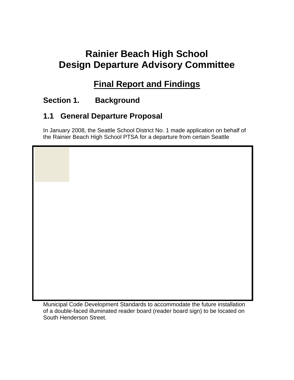## **Rainier Beach High School Design Departure Advisory Committee**

## **Final Report and Findings**

### **Section 1. Background**

### **1.1 General Departure Proposal**

In January 2008, the Seattle School District No. 1 made application on behalf of the Rainier Beach High School PTSA for a departure from certain Seattle

Municipal Code Development Standards to accommodate the future installation of a double-faced illuminated reader board (reader board sign) to be located on South Henderson Street.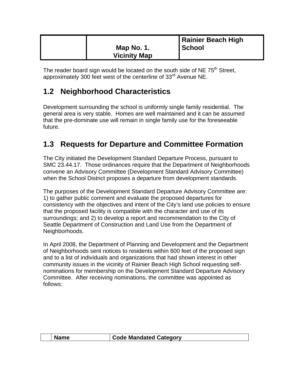|                     | Rainier Beach High |
|---------------------|--------------------|
| Map No. 1.          | <b>School</b>      |
| <b>Vicinity Map</b> |                    |

The reader board sign would be located on the south side of NE 75<sup>th</sup> Street, approximately 300 feet west of the centerline of  $33<sup>rd</sup>$  Avenue NE.

## **1.2 Neighborhood Characteristics**

Development surrounding the school is uniformly single family residential. The general area is very stable. Homes are well maintained and it can be assumed that the pre-dominate use will remain in single family use for the foreseeable future.

## **1.3 Requests for Departure and Committee Formation**

The City initiated the Development Standard Departure Process, pursuant to SMC 23.44.17. Those ordinances require that the Department of Neighborhoods convene an Advisory Committee (Development Standard Advisory Committee) when the School District proposes a departure from development standards.

The purposes of the Development Standard Departure Advisory Committee are: 1) to gather public comment and evaluate the proposed departures for consistency with the objectives and intent of the City's land use policies to ensure that the proposed facility is compatible with the character and use of its surroundings; and 2) to develop a report and recommendation to the City of Seattle Department of Construction and Land Use from the Department of Neighborhoods.

In April 2008, the Department of Planning and Development and the Department of Neighborhoods sent notices to residents within 600 feet of the proposed sign and to a list of individuals and organizations that had shown interest in other community issues in the vicinity of Rainier Beach High School requesting selfnominations for membership on the Development Standard Departure Advisory Committee. After receiving nominations, the committee was appointed as follows:

|  | Code Mandated Category |
|--|------------------------|
|  |                        |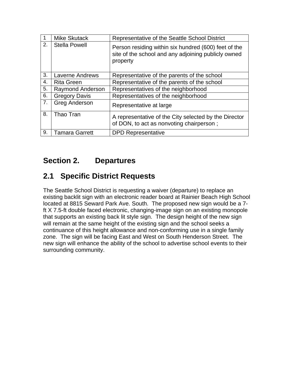|    | <b>Mike Skutack</b>     | Representative of the Seattle School District                                                                           |
|----|-------------------------|-------------------------------------------------------------------------------------------------------------------------|
| 2. | <b>Stella Powell</b>    | Person residing within six hundred (600) feet of the<br>site of the school and any adjoining publicly owned<br>property |
| 3. | <b>Laverne Andrews</b>  | Representative of the parents of the school                                                                             |
| 4. | <b>Rita Green</b>       | Representative of the parents of the school                                                                             |
| 5. | <b>Raymond Anderson</b> | Representatives of the neighborhood                                                                                     |
| 6. | <b>Gregory Davis</b>    | Representatives of the neighborhood                                                                                     |
| 7. | <b>Greg Anderson</b>    | Representative at large                                                                                                 |
| 8. | Thao Tran               | A representative of the City selected by the Director<br>of DON, to act as nonvoting chairperson;                       |
| 9. | <b>Tamara Garrett</b>   | <b>DPD Representative</b>                                                                                               |

### **Section 2. Departures**

### **2.1 Specific District Requests**

The Seattle School District is requesting a waiver (departure) to replace an existing backlit sign with an electronic reader board at Rainier Beach High School located at 8815 Seward Park Ave. South. The proposed new sign would be a 7 ft X 7.5-ft double faced electronic, changing-image sign on an existing monopole that supports an existing back lit style sign. The design height of the new sign will remain at the same height of the existing sign and the school seeks a continuance of this height allowance and non-conforming use in a single family zone. The sign will be facing East and West on South Henderson Street. The new sign will enhance the ability of the school to advertise school events to their surrounding community.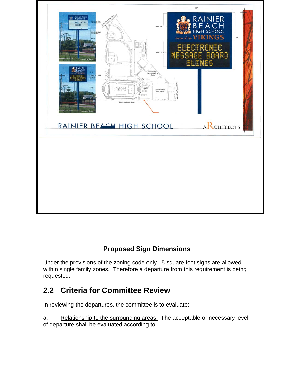

### **Proposed Sign Dimensions**

Under the provisions of the zoning code only 15 square foot signs are allowed within single family zones. Therefore a departure from this requirement is being requested.

### **2.2 Criteria for Committee Review**

In reviewing the departures, the committee is to evaluate:

a. Relationship to the surrounding areas. The acceptable or necessary level of departure shall be evaluated according to: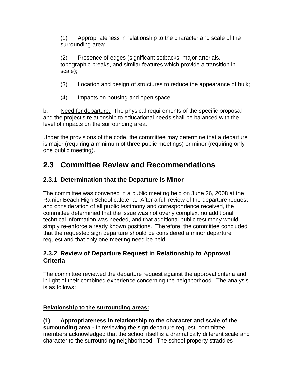(1) Appropriateness in relationship to the character and scale of the surrounding area;

(2) Presence of edges (significant setbacks, major arterials, topographic breaks, and similar features which provide a transition in scale);

(3) Location and design of structures to reduce the appearance of bulk;

(4) Impacts on housing and open space.

b. Need for departure. The physical requirements of the specific proposal and the project's relationship to educational needs shall be balanced with the level of impacts on the surrounding area.

Under the provisions of the code, the committee may determine that a departure is major (requiring a minimum of three public meetings) or minor (requiring only one public meeting).

## **2.3 Committee Review and Recommendations**

### **2.3.1 Determination that the Departure is Minor**

The committee was convened in a public meeting held on June 26, 2008 at the Rainier Beach High School cafeteria. After a full review of the departure request and consideration of all public testimony and correspondence received, the committee determined that the issue was not overly complex, no additional technical information was needed, and that additional public testimony would simply re-enforce already known positions. Therefore, the committee concluded that the requested sign departure should be considered a minor departure request and that only one meeting need be held.

#### **2.3.2 Review of Departure Request in Relationship to Approval Criteria**

The committee reviewed the departure request against the approval criteria and in light of their combined experience concerning the neighborhood. The analysis is as follows:

#### **Relationship to the surrounding areas:**

**(1) Appropriateness in relationship to the character and scale of the surrounding area -** In reviewing the sign departure request, committee members acknowledged that the school itself is a dramatically different scale and character to the surrounding neighborhood. The school property straddles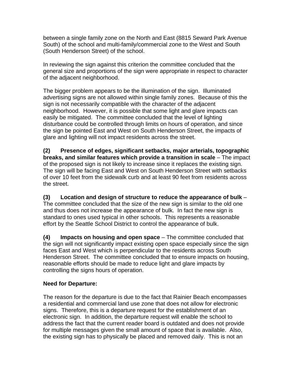between a single family zone on the North and East (8815 Seward Park Avenue South) of the school and multi-family/commercial zone to the West and South (South Henderson Street) of the school.

In reviewing the sign against this criterion the committee concluded that the general size and proportions of the sign were appropriate in respect to character of the adjacent neighborhood.

The bigger problem appears to be the illumination of the sign. Illuminated advertising signs are not allowed within single family zones. Because of this the sign is not necessarily compatible with the character of the adjacent neighborhood. However, it is possible that some light and glare impacts can easily be mitigated. The committee concluded that the level of lighting disturbance could be controlled through limits on hours of operation, and since the sign be pointed East and West on South Henderson Street, the impacts of glare and lighting will not impact residents across the street.

**(2) Presence of edges, significant setbacks, major arterials, topographic breaks, and similar features which provide a transition in scale** – The impact of the proposed sign is not likely to increase since it replaces the existing sign. The sign will be facing East and West on South Henderson Street with setbacks of over 10 feet from the sidewalk curb and at least 90 feet from residents across the street.

**(3) Location and design of structure to reduce the appearance of bulk** – The committee concluded that the size of the new sign is similar to the old one and thus does not increase the appearance of bulk. In fact the new sign is standard to ones used typical in other schools. This represents a reasonable effort by the Seattle School District to control the appearance of bulk.

**(4) Impacts on housing and open space** – The committee concluded that the sign will not significantly impact existing open space especially since the sign faces East and West which is perpendicular to the residents across South Henderson Street. The committee concluded that to ensure impacts on housing, reasonable efforts should be made to reduce light and glare impacts by controlling the signs hours of operation.

#### **Need for Departure:**

The reason for the departure is due to the fact that Rainier Beach encompasses a residential and commercial land use zone that does not allow for electronic signs. Therefore, this is a departure request for the establishment of an electronic sign. In addition, the departure request will enable the school to address the fact that the current reader board is outdated and does not provide for multiple messages given the small amount of space that is available. Also, the existing sign has to physically be placed and removed daily. This is not an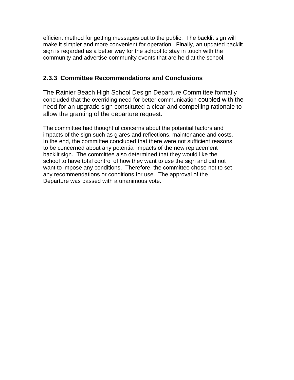efficient method for getting messages out to the public. The backlit sign will make it simpler and more convenient for operation. Finally, an updated backlit sign is regarded as a better way for the school to stay in touch with the community and advertise community events that are held at the school.

#### **2.3.3 Committee Recommendations and Conclusions**

The Rainier Beach High School Design Departure Committee formally concluded that the overriding need for better communication coupled with the need for an upgrade sign constituted a clear and compelling rationale to allow the granting of the departure request.

The committee had thoughtful concerns about the potential factors and impacts of the sign such as glares and reflections, maintenance and costs. In the end, the committee concluded that there were not sufficient reasons to be concerned about any potential impacts of the new replacement backlit sign. The committee also determined that they would like the school to have total control of how they want to use the sign and did not want to impose any conditions. Therefore, the committee chose not to set any recommendations or conditions for use. The approval of the Departure was passed with a unanimous vote.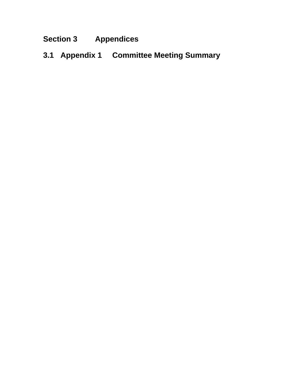## **Section 3 Appendices**

**3.1 Appendix 1 Committee Meeting Summary**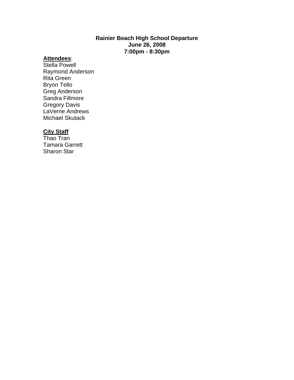#### **Rainier Beach High School Departure June 26, 2008 7:00pm - 8:30pm**

#### **Attendees**:

Stella Powell Raymond Anderson Rita Green Bryon Tello Greg Anderson Sandra Fillmore Gregory Davis LaVerne Andrews Michael Skutack

#### **City Staff**

Thao Tran Tamara Garrett Sharon Star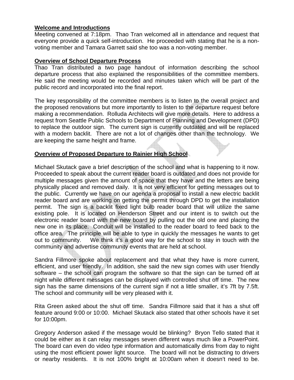#### **Welcome and Introductions**

Meeting convened at 7:18pm. Thao Tran welcomed all in attendance and request that everyone provide a quick self-introduction. He proceeded with stating that he is a nonvoting member and Tamara Garrett said she too was a non-voting member.

#### **Overview of School Departure Process**

Thao Tran distributed a two page handout of information describing the school departure process that also explained the responsibilities of the committee members. He said the meeting would be recorded and minutes taken which will be part of the public record and incorporated into the final report.

The key responsibility of the committee members is to listen to the overall project and the proposed renovations but more importantly to listen to the departure request before making a recommendation. Rolluda Architects will give more details. Here to address a request from Seattle Public Schools to Department of Planning and Development (DPD) to replace the outdoor sign. The current sign is currently outdated and will be replaced with a modern backlit. There are not a lot of changes other than the technology. We are keeping the same height and frame.

#### **Overview of Proposed Departure to Rainier High School**

Michael Skutack gave a brief description of the school and what is happening to it now. Proceeded to speak about the current reader board is outdated and does not provide for multiple messages given the amount of space that they have and the letters are being physically placed and removed daily. It is not very efficient for getting messages out to the public. Currently we have on our agenda a proposal to install a new electric backlit reader board and are working on getting the permit through DPD to get the installation permit. The sign is a backlit fixed light bulb reader board that will utilize the same existing pole. It is located on Henderson Street and our intent is to switch out the electronic reader board with the new board by pulling out the old one and placing the new one in its place. Conduit will be installed to the reader board to feed back to the office area. The principle will be able to type in quickly the messages he wants to get out to community. We think it's a good way for the school to stay in touch with the community and advertise community events that are held at school.

Sandra Fillmore spoke about replacement and that what they have is more current, efficient, and user friendly. In addition, she said the new sign comes with user friendly software – the school can program the software so that the sign can be turned off at night while different messages can be displayed with controlled shut off time. The new sign has the same dimensions of the current sign if not a little smaller, it's 7ft by 7.5ft. The school and community will be very pleased with it.

Rita Green asked about the shut off time. Sandra Fillmore said that it has a shut off feature around 9:00 or 10:00. Michael Skutack also stated that other schools have it set for 10:00pm.

Gregory Anderson asked if the message would be blinking? Bryon Tello stated that it could be either as it can relay messages seven different ways much like a PowerPoint. The board can even do video type information and automatically dims from day to night using the most efficient power light source. The board will not be distracting to drivers or nearby residents. It is not 100% bright at 10:00am when it doesn't need to be.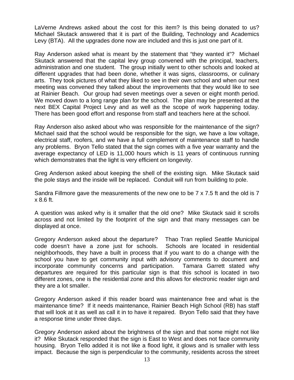LaVerne Andrews asked about the cost for this item? Is this being donated to us? Michael Skutack answered that it is part of the Building, Technology and Academics Levy (BTA). All the upgrades done now are included and this is just one part of it.

Ray Anderson asked what is meant by the statement that "they wanted it"? Michael Skutack answered that the capital levy group convened with the principal, teachers, administration and one student. The group initially went to other schools and looked at different upgrades that had been done, whether it was signs, classrooms, or culinary arts. They took pictures of what they liked to see in their own school and when our next meeting was convened they talked about the improvements that they would like to see at Rainier Beach. Our group had seven meetings over a seven or eight month period. We moved down to a long range plan for the school. The plan may be presented at the next BEX Capital Project Levy and as well as the scope of work happening today. There has been good effort and response from staff and teachers here at the school.

Ray Anderson also asked about who was responsible for the maintenance of the sign? Michael said that the school would be responsible for the sign, we have a low voltage, electrical staff, roofers, and we have a full complement of maintenance staff to handle any problems. Bryon Tello stated that the sign comes with a five year warranty and the average expectancy of LED is 11,000 hours which is 11 years of continuous running which demonstrates that the light is very efficient on longevity.

Greg Anderson asked about keeping the shell of the existing sign. Mike Skutack said the pole stays and the inside will be replaced. Conduit will run from building to pole.

Sandra Fillmore gave the measurements of the new one to be 7 x 7.5 ft and the old is 7 x 8.6 ft.

A question was asked why is it smaller that the old one? Mike Skutack said it scrolls across and not limited by the footprint of the sign and that many messages can be displayed at once.

Gregory Anderson asked about the departure? Thao Tran replied Seattle Municipal code doesn't have a zone just for schools. Schools are located in residential neighborhoods, they have a built in process that if you want to do a change with the school you have to get community input with advisory comments to document and incorporate community concerns and participation. Tamara Garrett stated why departures are required for this particular sign is that this school is located in two different zones, one is the residential zone and this allows for electronic reader sign and they are a lot smaller.

Gregory Anderson asked if this reader board was maintenance free and what is the maintenance time? If it needs maintenance, Rainier Beach High School (RB) has staff that will look at it as well as call it in to have it repaired. Bryon Tello said that they have a response time under three days.

Gregory Anderson asked about the brightness of the sign and that some might not like it? Mike Skutack responded that the sign is East to West and does not face community housing. Bryon Tello added it is not like a flood light, it glows and is smaller with less impact. Because the sign is perpendicular to the community, residents across the street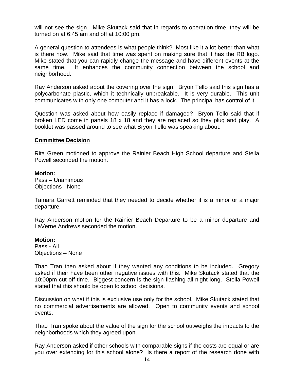will not see the sign. Mike Skutack said that in regards to operation time, they will be turned on at 6:45 am and off at 10:00 pm.

A general question to attendees is what people think? Most like it a lot better than what is there now. Mike said that time was spent on making sure that it has the RB logo. Mike stated that you can rapidly change the message and have different events at the same time. It enhances the community connection between the school and neighborhood.

Ray Anderson asked about the covering over the sign. Bryon Tello said this sign has a polycarbonate plastic, which it technically unbreakable. It is very durable. This unit communicates with only one computer and it has a lock. The principal has control of it.

Question was asked about how easily replace if damaged? Bryon Tello said that if broken LED come in panels 18 x 18 and they are replaced so they plug and play. A booklet was passed around to see what Bryon Tello was speaking about.

#### **Committee Decision**

Rita Green motioned to approve the Rainier Beach High School departure and Stella Powell seconded the motion.

#### **Motion:**

Pass – Unanimous Objections - None

Tamara Garrett reminded that they needed to decide whether it is a minor or a major departure.

Ray Anderson motion for the Rainier Beach Departure to be a minor departure and LaVerne Andrews seconded the motion.

#### **Motion:**

Pass - All Objections – None

Thao Tran then asked about if they wanted any conditions to be included. Gregory asked if their have been other negative issues with this. Mike Skutack stated that the 10:00pm cut-off time. Biggest concern is the sign flashing all night long. Stella Powell stated that this should be open to school decisions.

Discussion on what if this is exclusive use only for the school. Mike Skutack stated that no commercial advertisements are allowed. Open to community events and school events.

Thao Tran spoke about the value of the sign for the school outweighs the impacts to the neighborhoods which they agreed upon.

Ray Anderson asked if other schools with comparable signs if the costs are equal or are you over extending for this school alone? Is there a report of the research done with